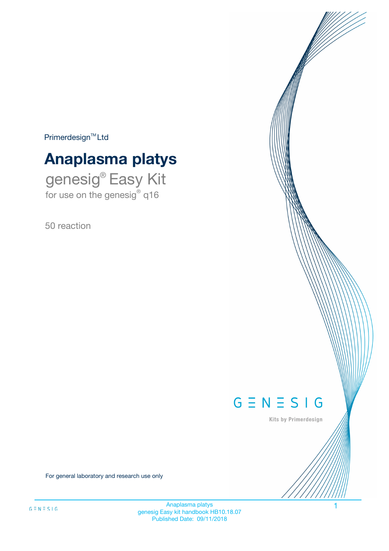$Primerdesign^{\text{TM}}Ltd$ 

# **Anaplasma platys**

genesig® Easy Kit for use on the genesig® q16

50 reaction



Kits by Primerdesign

For general laboratory and research use only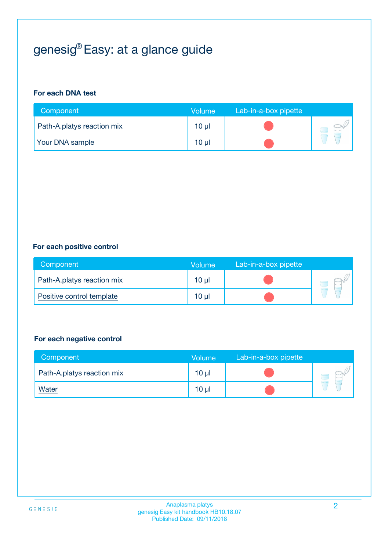# genesig® Easy: at a glance guide

#### **For each DNA test**

| Component                  | <b>Volume</b> | Lab-in-a-box pipette |  |
|----------------------------|---------------|----------------------|--|
| Path-A.platys reaction mix | $10 \mu$      |                      |  |
| <b>Your DNA sample</b>     | 10 µl         |                      |  |

#### **For each positive control**

| Component                  | Volume          | Lab-in-a-box pipette |  |
|----------------------------|-----------------|----------------------|--|
| Path-A.platys reaction mix | 10 <sub>µ</sub> |                      |  |
| Positive control template  | $10 \mu$        |                      |  |

#### **For each negative control**

| Component                  | <b>Volume</b>   | Lab-in-a-box pipette |  |
|----------------------------|-----------------|----------------------|--|
| Path-A.platys reaction mix | 10 <sub>µ</sub> |                      |  |
| <u>Water</u>               | 10 <sub>µ</sub> |                      |  |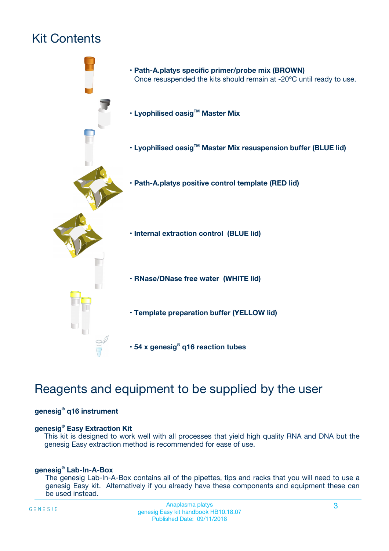# Kit Contents



## Reagents and equipment to be supplied by the user

#### **genesig® q16 instrument**

#### **genesig® Easy Extraction Kit**

This kit is designed to work well with all processes that yield high quality RNA and DNA but the genesig Easy extraction method is recommended for ease of use.

#### **genesig® Lab-In-A-Box**

The genesig Lab-In-A-Box contains all of the pipettes, tips and racks that you will need to use a genesig Easy kit. Alternatively if you already have these components and equipment these can be used instead.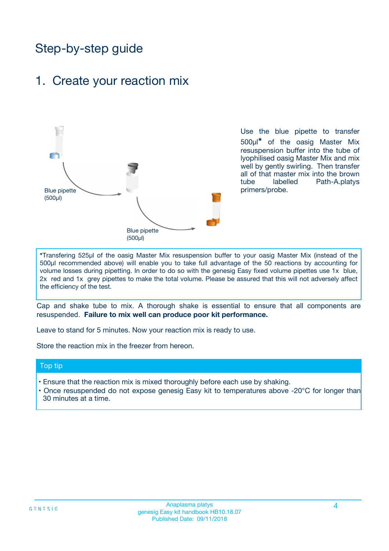## Step-by-step guide

## 1. Create your reaction mix



Use the blue pipette to transfer 500µl**\*** of the oasig Master Mix resuspension buffer into the tube of lyophilised oasig Master Mix and mix well by gently swirling. Then transfer all of that master mix into the brown tube labelled Path-A.platys primers/probe.

**\***Transfering 525µl of the oasig Master Mix resuspension buffer to your oasig Master Mix (instead of the 500µl recommended above) will enable you to take full advantage of the 50 reactions by accounting for volume losses during pipetting. In order to do so with the genesig Easy fixed volume pipettes use 1x blue, 2x red and 1x grey pipettes to make the total volume. Please be assured that this will not adversely affect the efficiency of the test.

Cap and shake tube to mix. A thorough shake is essential to ensure that all components are resuspended. **Failure to mix well can produce poor kit performance.**

Leave to stand for 5 minutes. Now your reaction mix is ready to use.

Store the reaction mix in the freezer from hereon.

#### Top tip

- Ensure that the reaction mix is mixed thoroughly before each use by shaking.
- **•** Once resuspended do not expose genesig Easy kit to temperatures above -20°C for longer than 30 minutes at a time.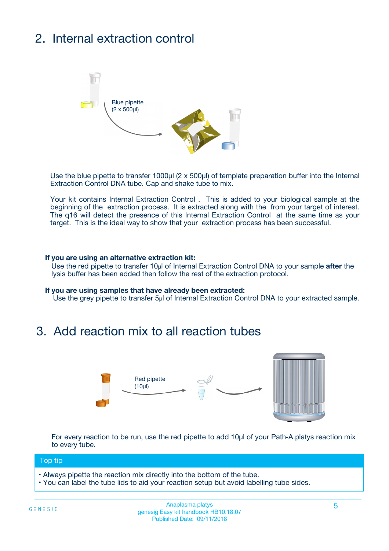# 2. Internal extraction control



Use the blue pipette to transfer 1000µl (2 x 500µl) of template preparation buffer into the Internal Extraction Control DNA tube. Cap and shake tube to mix.

Your kit contains Internal Extraction Control . This is added to your biological sample at the beginning of the extraction process. It is extracted along with the from your target of interest. The q16 will detect the presence of this Internal Extraction Control at the same time as your target. This is the ideal way to show that your extraction process has been successful.

#### **If you are using an alternative extraction kit:**

Use the red pipette to transfer 10µl of Internal Extraction Control DNA to your sample **after** the lysis buffer has been added then follow the rest of the extraction protocol.

#### **If you are using samples that have already been extracted:**

Use the grey pipette to transfer 5µl of Internal Extraction Control DNA to your extracted sample.

### 3. Add reaction mix to all reaction tubes



For every reaction to be run, use the red pipette to add 10µl of your Path-A.platys reaction mix to every tube.

#### Top tip

- Always pipette the reaction mix directly into the bottom of the tube.
- You can label the tube lids to aid your reaction setup but avoid labelling tube sides.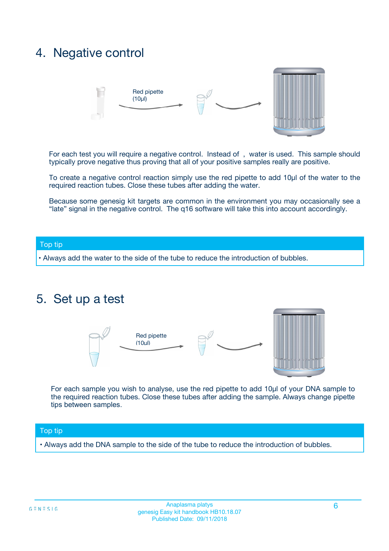## 4. Negative control



For each test you will require a negative control. Instead of , water is used. This sample should typically prove negative thus proving that all of your positive samples really are positive.

To create a negative control reaction simply use the red pipette to add 10µl of the water to the required reaction tubes. Close these tubes after adding the water.

Because some genesig kit targets are common in the environment you may occasionally see a "late" signal in the negative control. The q16 software will take this into account accordingly.

#### Top tip

**•** Always add the water to the side of the tube to reduce the introduction of bubbles.

### 5. Set up a test



For each sample you wish to analyse, use the red pipette to add 10µl of your DNA sample to the required reaction tubes. Close these tubes after adding the sample. Always change pipette tips between samples.

#### Top tip

**•** Always add the DNA sample to the side of the tube to reduce the introduction of bubbles.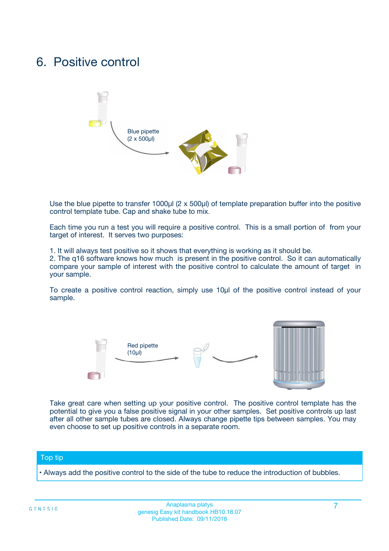## 6. Positive control



Use the blue pipette to transfer 1000µl (2 x 500µl) of template preparation buffer into the positive control template tube. Cap and shake tube to mix.

Each time you run a test you will require a positive control. This is a small portion of from your target of interest. It serves two purposes:

1. It will always test positive so it shows that everything is working as it should be.

2. The q16 software knows how much is present in the positive control. So it can automatically compare your sample of interest with the positive control to calculate the amount of target in your sample.

To create a positive control reaction, simply use 10µl of the positive control instead of your sample.



Take great care when setting up your positive control. The positive control template has the potential to give you a false positive signal in your other samples. Set positive controls up last after all other sample tubes are closed. Always change pipette tips between samples. You may even choose to set up positive controls in a separate room.

#### Top tip

**•** Always add the positive control to the side of the tube to reduce the introduction of bubbles.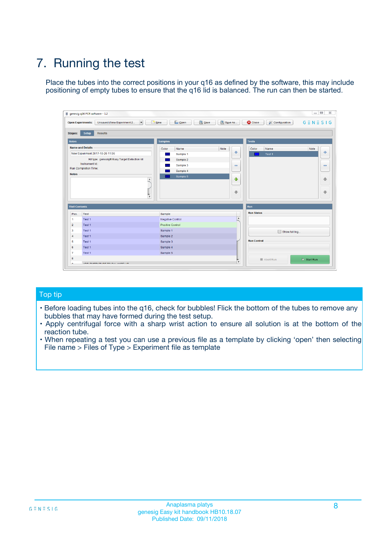# 7. Running the test

Place the tubes into the correct positions in your q16 as defined by the software, this may include positioning of empty tubes to ensure that the q16 lid is balanced. The run can then be started.

| genesig q16 PCR software - 1.2                                               |                                     | $\Box$                                                                                  |
|------------------------------------------------------------------------------|-------------------------------------|-----------------------------------------------------------------------------------------|
| Unsaved (New Experiment 2<br>$\vert \cdot \vert$<br><b>Open Experiments:</b> | <b>D</b> Open<br>Save<br>$\Box$ New | Save As<br><b>C</b> Close<br>$G \equiv N \equiv S \mid G$<br><b>&amp; Configuration</b> |
| Setup<br><b>Results</b><br><b>Stages:</b>                                    |                                     |                                                                                         |
| <b>Notes</b>                                                                 | Samples                             | <b>Tests</b>                                                                            |
| <b>Name and Details</b>                                                      | Color<br>Name                       | Note<br>Color<br>Note<br>Name                                                           |
| New Experiment 2017-10-26 11:06                                              | Sample 1                            | ع<br>条<br>Test 1                                                                        |
| Kit type: genesig® Easy Target Detection kit                                 | Sample 2                            |                                                                                         |
| Instrument Id.:                                                              | Sample 3                            | $\qquad \qquad \blacksquare$<br>$\qquad \qquad \blacksquare$                            |
| Run Completion Time:                                                         | Sample 4                            |                                                                                         |
| <b>Notes</b>                                                                 | Sample 5<br>A<br>v                  | $\triangle$<br>4<br>$\oplus$<br>₩                                                       |
| <b>Well Contents</b>                                                         |                                     | <b>Run</b>                                                                              |
| Pos.<br>Test                                                                 | Sample                              | <b>Run Status</b>                                                                       |
| Test 1<br>-1                                                                 | <b>Negative Control</b>             | $\blacktriangle$                                                                        |
| $\overline{2}$<br>Test 1                                                     | <b>Positive Control</b>             |                                                                                         |
| $\overline{\mathbf{3}}$<br>Test 1                                            | Sample 1                            | Show full log                                                                           |
| Test 1<br>$\overline{4}$                                                     | Sample 2                            |                                                                                         |
| 5<br>Test 1                                                                  | Sample 3                            | <b>Run Control</b>                                                                      |
| 6<br>Test 1                                                                  | Sample 4                            |                                                                                         |
| $\overline{7}$<br>Test 1                                                     | Sample 5                            |                                                                                         |
| 8                                                                            |                                     | $\triangleright$ Start Run<br>Abort Run                                                 |
| <b>JOD FURTY TUDE TO BUILDED IN</b>                                          |                                     | $\overline{\mathbf{v}}$                                                                 |

#### Top tip

- Before loading tubes into the q16, check for bubbles! Flick the bottom of the tubes to remove any bubbles that may have formed during the test setup.
- Apply centrifugal force with a sharp wrist action to ensure all solution is at the bottom of the reaction tube.
- When repeating a test you can use a previous file as a template by clicking 'open' then selecting File name > Files of Type > Experiment file as template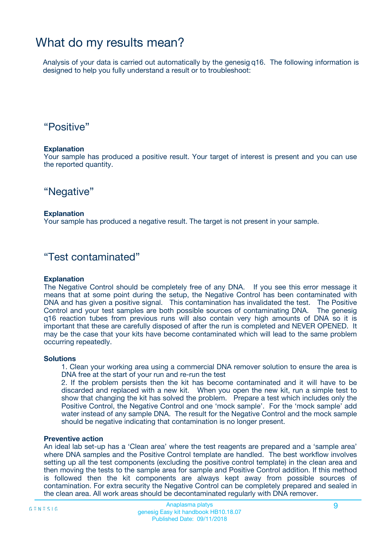## What do my results mean?

Analysis of your data is carried out automatically by the genesig q16. The following information is designed to help you fully understand a result or to troubleshoot:

### "Positive"

#### **Explanation**

Your sample has produced a positive result. Your target of interest is present and you can use the reported quantity.

"Negative"

#### **Explanation**

Your sample has produced a negative result. The target is not present in your sample.

### "Test contaminated"

#### **Explanation**

The Negative Control should be completely free of any DNA. If you see this error message it means that at some point during the setup, the Negative Control has been contaminated with DNA and has given a positive signal. This contamination has invalidated the test. The Positive Control and your test samples are both possible sources of contaminating DNA. The genesig q16 reaction tubes from previous runs will also contain very high amounts of DNA so it is important that these are carefully disposed of after the run is completed and NEVER OPENED. It may be the case that your kits have become contaminated which will lead to the same problem occurring repeatedly.

#### **Solutions**

1. Clean your working area using a commercial DNA remover solution to ensure the area is DNA free at the start of your run and re-run the test

2. If the problem persists then the kit has become contaminated and it will have to be discarded and replaced with a new kit. When you open the new kit, run a simple test to show that changing the kit has solved the problem. Prepare a test which includes only the Positive Control, the Negative Control and one 'mock sample'. For the 'mock sample' add water instead of any sample DNA. The result for the Negative Control and the mock sample should be negative indicating that contamination is no longer present.

#### **Preventive action**

An ideal lab set-up has a 'Clean area' where the test reagents are prepared and a 'sample area' where DNA samples and the Positive Control template are handled. The best workflow involves setting up all the test components (excluding the positive control template) in the clean area and then moving the tests to the sample area for sample and Positive Control addition. If this method is followed then the kit components are always kept away from possible sources of contamination. For extra security the Negative Control can be completely prepared and sealed in the clean area. All work areas should be decontaminated regularly with DNA remover.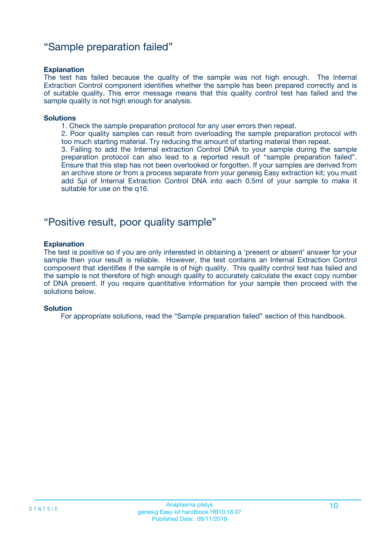### "Sample preparation failed"

#### **Explanation**

The test has failed because the quality of the sample was not high enough. The Internal Extraction Control component identifies whether the sample has been prepared correctly and is of suitable quality. This error message means that this quality control test has failed and the sample quality is not high enough for analysis.

#### **Solutions**

1. Check the sample preparation protocol for any user errors then repeat.

2. Poor quality samples can result from overloading the sample preparation protocol with too much starting material. Try reducing the amount of starting material then repeat.

3. Failing to add the Internal extraction Control DNA to your sample during the sample preparation protocol can also lead to a reported result of "sample preparation failed". Ensure that this step has not been overlooked or forgotten. If your samples are derived from an archive store or from a process separate from your genesig Easy extraction kit; you must add 5µl of Internal Extraction Control DNA into each 0.5ml of your sample to make it suitable for use on the q16.

### "Positive result, poor quality sample"

#### **Explanation**

The test is positive so if you are only interested in obtaining a 'present or absent' answer for your sample then your result is reliable. However, the test contains an Internal Extraction Control component that identifies if the sample is of high quality. This quality control test has failed and the sample is not therefore of high enough quality to accurately calculate the exact copy number of DNA present. If you require quantitative information for your sample then proceed with the solutions below.

#### **Solution**

For appropriate solutions, read the "Sample preparation failed" section of this handbook.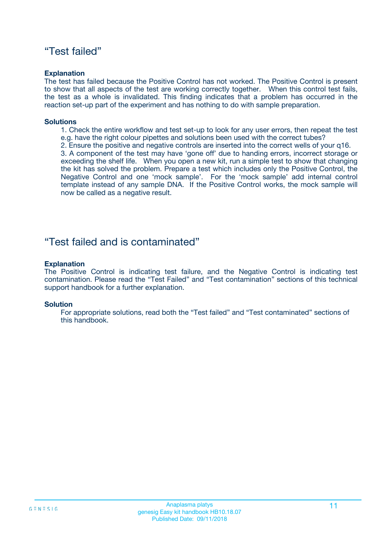### "Test failed"

#### **Explanation**

The test has failed because the Positive Control has not worked. The Positive Control is present to show that all aspects of the test are working correctly together. When this control test fails, the test as a whole is invalidated. This finding indicates that a problem has occurred in the reaction set-up part of the experiment and has nothing to do with sample preparation.

#### **Solutions**

- 1. Check the entire workflow and test set-up to look for any user errors, then repeat the test e.g. have the right colour pipettes and solutions been used with the correct tubes?
- 2. Ensure the positive and negative controls are inserted into the correct wells of your q16.

3. A component of the test may have 'gone off' due to handing errors, incorrect storage or exceeding the shelf life. When you open a new kit, run a simple test to show that changing the kit has solved the problem. Prepare a test which includes only the Positive Control, the Negative Control and one 'mock sample'. For the 'mock sample' add internal control template instead of any sample DNA. If the Positive Control works, the mock sample will now be called as a negative result.

### "Test failed and is contaminated"

#### **Explanation**

The Positive Control is indicating test failure, and the Negative Control is indicating test contamination. Please read the "Test Failed" and "Test contamination" sections of this technical support handbook for a further explanation.

#### **Solution**

For appropriate solutions, read both the "Test failed" and "Test contaminated" sections of this handbook.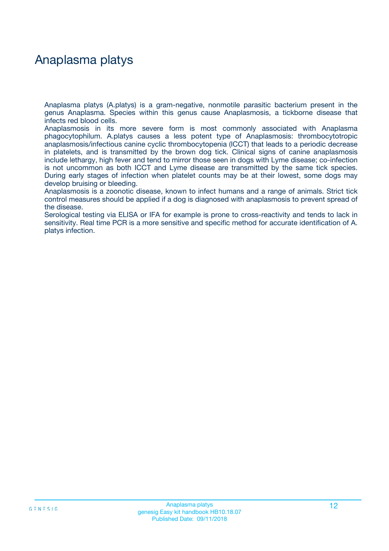## Anaplasma platys

Anaplasma platys (A.platys) is a gram-negative, nonmotile parasitic bacterium present in the genus Anaplasma. Species within this genus cause Anaplasmosis, a tickborne disease that infects red blood cells.

Anaplasmosis in its more severe form is most commonly associated with Anaplasma phagocytophilum. A.platys causes a less potent type of Anaplasmosis: thrombocytotropic anaplasmosis/infectious canine cyclic thrombocytopenia (ICCT) that leads to a periodic decrease in platelets, and is transmitted by the brown dog tick. Clinical signs of canine anaplasmosis include lethargy, high fever and tend to mirror those seen in dogs with Lyme disease; co-infection is not uncommon as both ICCT and Lyme disease are transmitted by the same tick species. During early stages of infection when platelet counts may be at their lowest, some dogs may develop bruising or bleeding.

Anaplasmosis is a zoonotic disease, known to infect humans and a range of animals. Strict tick control measures should be applied if a dog is diagnosed with anaplasmosis to prevent spread of the disease.

Serological testing via ELISA or IFA for example is prone to cross-reactivity and tends to lack in sensitivity. Real time PCR is a more sensitive and specific method for accurate identification of A. platys infection.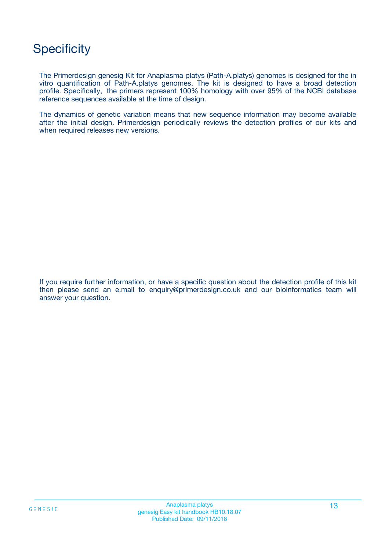## **Specificity**

The Primerdesign genesig Kit for Anaplasma platys (Path-A.platys) genomes is designed for the in vitro quantification of Path-A.platys genomes. The kit is designed to have a broad detection profile. Specifically, the primers represent 100% homology with over 95% of the NCBI database reference sequences available at the time of design.

The dynamics of genetic variation means that new sequence information may become available after the initial design. Primerdesign periodically reviews the detection profiles of our kits and when required releases new versions.

If you require further information, or have a specific question about the detection profile of this kit then please send an e.mail to enquiry@primerdesign.co.uk and our bioinformatics team will answer your question.